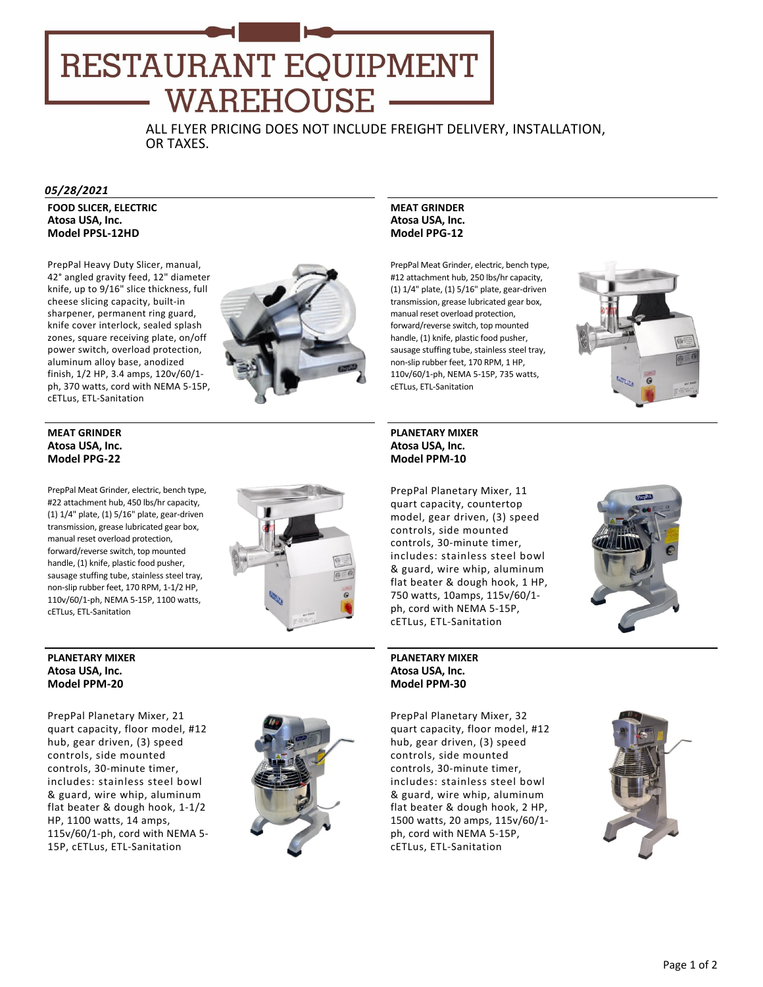# RESTAURANT EQUIPMENT **WAREHOUSE -**

ALL FLYER PRICING DOES NOT INCLUDE FREIGHT DELIVERY, INSTALLATION, OR TAXES.

#### *05/28/2021*

**FOOD SLICER, ELECTRIC Atosa USA, Inc. Model PPSL‐12HD**

PrepPal Heavy Duty Slicer, manual, 42° angled gravity feed, 12" diameter knife, up to 9/16" slice thickness, full cheese slicing capacity, built‐in sharpener, permanent ring guard, knife cover interlock, sealed splash zones, square receiving plate, on/off power switch, overload protection, aluminum alloy base, anodized finish, 1/2 HP, 3.4 amps, 120v/60/1‐ ph, 370 watts, cord with NEMA 5‐15P, cETLus, ETL‐Sanitation



### **MEAT GRINDER Atosa USA, Inc. Model PPG‐22**

PrepPal Meat Grinder, electric, bench type, #22 attachment hub, 450 lbs/hr capacity, (1) 1/4" plate, (1) 5/16" plate, gear‐driven transmission, grease lubricated gear box, manual reset overload protection, forward/reverse switch, top mounted handle, (1) knife, plastic food pusher, sausage stuffing tube, stainless steel tray, non‐slip rubber feet, 170 RPM, 1‐1/2 HP, 110v/60/1‐ph, NEMA 5‐15P, 1100 watts, cETLus, ETL‐Sanitation



#### **PLANETARY MIXER Atosa USA, Inc. Model PPM‐20**

PrepPal Planetary Mixer, 21 quart capacity, floor model, #12 hub, gear driven, (3) speed controls, side mounted controls, 30‐minute timer, includes: stainless steel bowl & guard, wire whip, aluminum flat beater & dough hook, 1‐1/2 HP, 1100 watts, 14 amps, 115v/60/1‐ph, cord with NEMA 5‐ 15P, cETLus, ETL‐Sanitation



### **MEAT GRINDER Atosa USA, Inc. Model PPG‐12**

PrepPal Meat Grinder, electric, bench type, #12 attachment hub, 250 lbs/hr capacity, (1) 1/4" plate, (1) 5/16" plate, gear‐driven transmission, grease lubricated gear box, manual reset overload protection, forward/reverse switch, top mounted handle, (1) knife, plastic food pusher, sausage stuffing tube, stainless steel tray, non‐slip rubber feet, 170 RPM, 1 HP, 110v/60/1‐ph, NEMA 5‐15P, 735 watts, cETLus, ETL‐Sanitation



## **PLANETARY MIXER Atosa USA, Inc. Model PPM‐10**

PrepPal Planetary Mixer, 11 quart capacity, countertop model, gear driven, (3) speed controls, side mounted controls, 30‐minute timer, includes: stainless steel bowl & guard, wire whip, aluminum flat beater & dough hook, 1 HP, 750 watts, 10amps, 115v/60/1‐ ph, cord with NEMA 5‐15P, cETLus, ETL‐Sanitation

#### **PLANETARY MIXER Atosa USA, Inc. Model PPM‐30**

PrepPal Planetary Mixer, 32 quart capacity, floor model, #12 hub, gear driven, (3) speed controls, side mounted controls, 30‐minute timer, includes: stainless steel bowl & guard, wire whip, aluminum flat beater & dough hook, 2 HP, 1500 watts, 20 amps, 115v/60/1‐ ph, cord with NEMA 5‐15P, cETLus, ETL‐Sanitation